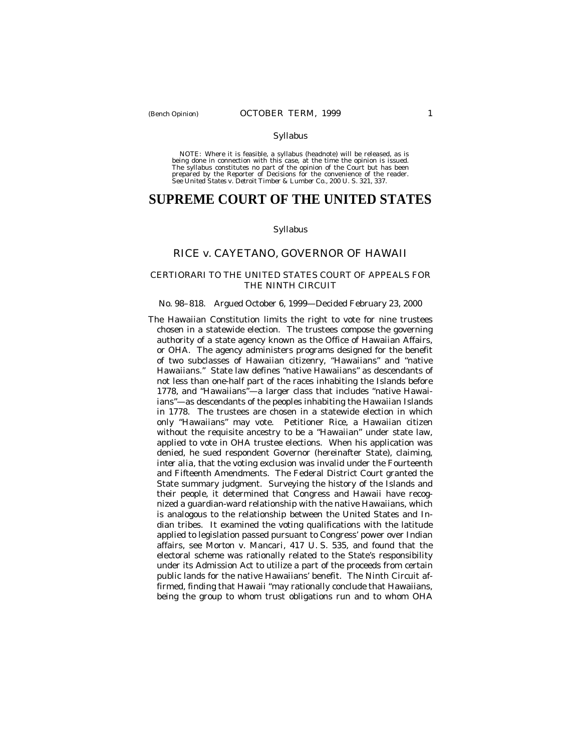## Syllabus

NOTE: Where it is feasible, a syllabus (headnote) will be released, as is being done in connection with this case, at the time the opinion is issued. The syllabus constitutes no part of the opinion of the Court but has been<br>prepared by the Reporter of Decisions for the convenience of the reader.<br>See United States v. Detroit Timber & Lumber Co., 200 U. S. 321, 337.

# **SUPREME COURT OF THE UNITED STATES**

## Syllabus

# RICE *v.* CAYETANO, GOVERNOR OF HAWAII

## CERTIORARI TO THE UNITED STATES COURT OF APPEALS FOR THE NINTH CIRCUIT

## No. 98–818. Argued October 6, 1999— Decided February 23, 2000

The Hawaiian Constitution limits the right to vote for nine trustees chosen in a statewide election. The trustees compose the governing authority of a state agency known as the Office of Hawaiian Affairs, or OHA. The agency administers programs designed for the benefit of two subclasses of Hawaiian citizenry, "Hawaiians" and "native Hawaiians." State law defines "native Hawaiians" as descendants of not less than one-half part of the races inhabiting the Islands before 1778, and "Hawaiians"— a larger class that includes "native Hawaiians"— as descendants of the peoples inhabiting the Hawaiian Islands in 1778. The trustees are chosen in a statewide election in which only "Hawaiians" may vote. Petitioner Rice, a Hawaiian citizen without the requisite ancestry to be a "Hawaiian" under state law, applied to vote in OHA trustee elections. When his application was denied, he sued respondent Governor (hereinafter State), claiming, *inter alia,* that the voting exclusion was invalid under the Fourteenth and Fifteenth Amendments. The Federal District Court granted the State summary judgment. Surveying the history of the Islands and their people, it determined that Congress and Hawaii have recognized a guardian-ward relationship with the native Hawaiians, which is analogous to the relationship between the United States and Indian tribes. It examined the voting qualifications with the latitude applied to legislation passed pursuant to Congress' power over Indian affairs, see *Morton* v. *Mancari,* 417 U. S. 535, and found that the electoral scheme was rationally related to the State's responsibility under its Admission Act to utilize a part of the proceeds from certain public lands for the native Hawaiians' benefit. The Ninth Circuit affirmed, finding that Hawaii "may rationally conclude that Hawaiians, being the group to whom trust obligations run and to whom OHA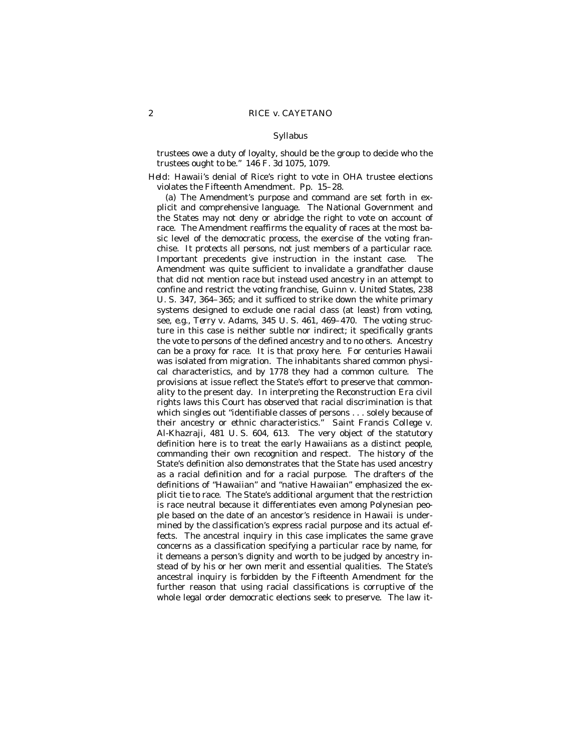#### Syllabus

trustees owe a duty of loyalty, should be the group to decide who the trustees ought to be." 146 F. 3d 1075, 1079.

*Held:* Hawaii's denial of Rice's right to vote in OHA trustee elections violates the Fifteenth Amendment. Pp. 15–28.

(a) The Amendment's purpose and command are set forth in explicit and comprehensive language. The National Government and the States may not deny or abridge the right to vote on account of race. The Amendment reaffirms the equality of races at the most basic level of the democratic process, the exercise of the voting franchise. It protects all persons, not just members of a particular race. Important precedents give instruction in the instant case. The Amendment was quite sufficient to invalidate a grandfather clause that did not mention race but instead used ancestry in an attempt to confine and restrict the voting franchise, *Guinn* v. *United States,* 238 U. S. 347, 364–365; and it sufficed to strike down the white primary systems designed to exclude one racial class (at least) from voting, see, *e.g., Terry* v. *Adams,* 345 U. S. 461, 469–470. The voting structure in this case is neither subtle nor indirect; it specifically grants the vote to persons of the defined ancestry and to no others. Ancestry can be a proxy for race. It is that proxy here. For centuries Hawaii was isolated from migration. The inhabitants shared common physical characteristics, and by 1778 they had a common culture. The provisions at issue reflect the State's effort to preserve that commonality to the present day. In interpreting the Reconstruction Era civil rights laws this Court has observed that racial discrimination is that which singles out "identifiable classes of persons . . . solely because of their ancestry or ethnic characteristics." *Saint Francis College* v. *Al-Khazraji,* 481 U. S. 604, 613. The very object of the statutory definition here is to treat the early Hawaiians as a distinct people, commanding their own recognition and respect. The history of the State's definition also demonstrates that the State has used ancestry as a racial definition and for a racial purpose. The drafters of the definitions of "Hawaiian" and "native Hawaiian" emphasized the explicit tie to race. The State's additional argument that the restriction is race neutral because it differentiates even among Polynesian people based on the date of an ancestor's residence in Hawaii is undermined by the classification's express racial purpose and its actual effects. The ancestral inquiry in this case implicates the same grave concerns as a classification specifying a particular race by name, for it demeans a person's dignity and worth to be judged by ancestry instead of by his or her own merit and essential qualities. The State's ancestral inquiry is forbidden by the Fifteenth Amendment for the further reason that using racial classifications is corruptive of the whole legal order democratic elections seek to preserve. The law it-